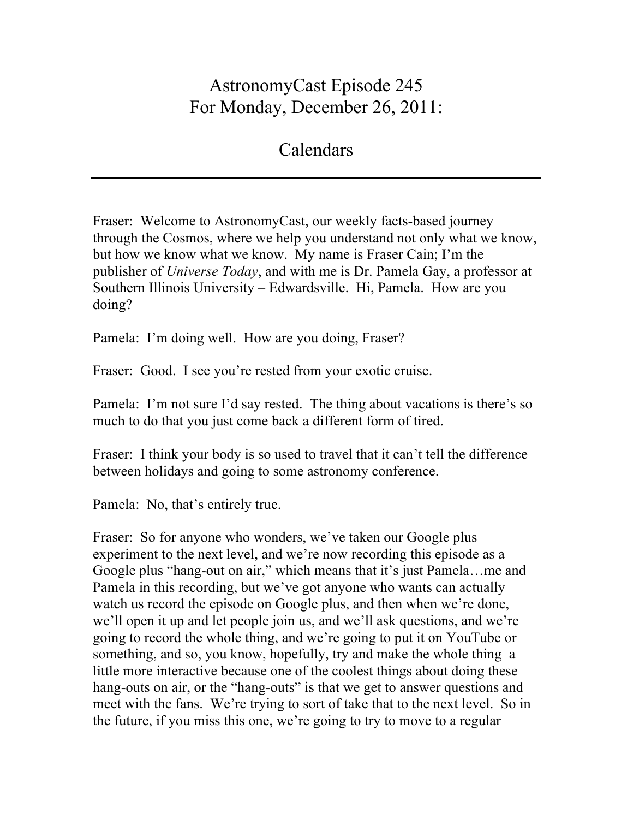## AstronomyCast Episode 245 For Monday, December 26, 2011:

## Calendars

Fraser: Welcome to AstronomyCast, our weekly facts-based journey through the Cosmos, where we help you understand not only what we know, but how we know what we know. My name is Fraser Cain; I'm the publisher of *Universe Today*, and with me is Dr. Pamela Gay, a professor at Southern Illinois University – Edwardsville. Hi, Pamela. How are you doing?

Pamela: I'm doing well. How are you doing, Fraser?

Fraser: Good. I see you're rested from your exotic cruise.

Pamela: I'm not sure I'd say rested. The thing about vacations is there's so much to do that you just come back a different form of tired.

Fraser: I think your body is so used to travel that it can't tell the difference between holidays and going to some astronomy conference.

Pamela: No, that's entirely true.

Fraser: So for anyone who wonders, we've taken our Google plus experiment to the next level, and we're now recording this episode as a Google plus "hang-out on air," which means that it's just Pamela…me and Pamela in this recording, but we've got anyone who wants can actually watch us record the episode on Google plus, and then when we're done, we'll open it up and let people join us, and we'll ask questions, and we're going to record the whole thing, and we're going to put it on YouTube or something, and so, you know, hopefully, try and make the whole thing a little more interactive because one of the coolest things about doing these hang-outs on air, or the "hang-outs" is that we get to answer questions and meet with the fans. We're trying to sort of take that to the next level. So in the future, if you miss this one, we're going to try to move to a regular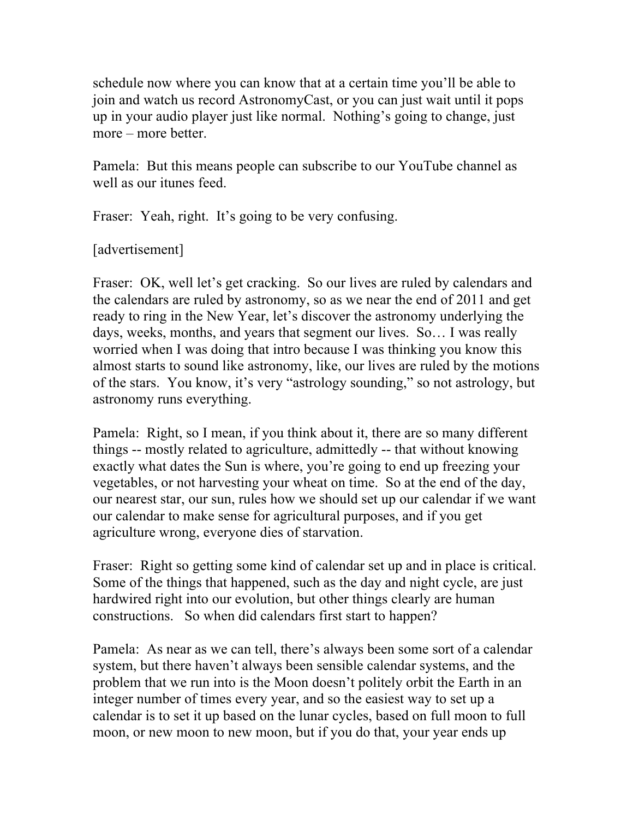schedule now where you can know that at a certain time you'll be able to join and watch us record AstronomyCast, or you can just wait until it pops up in your audio player just like normal. Nothing's going to change, just more – more better.

Pamela: But this means people can subscribe to our YouTube channel as well as our itunes feed.

Fraser: Yeah, right. It's going to be very confusing.

## [advertisement]

Fraser: OK, well let's get cracking. So our lives are ruled by calendars and the calendars are ruled by astronomy, so as we near the end of 2011 and get ready to ring in the New Year, let's discover the astronomy underlying the days, weeks, months, and years that segment our lives. So… I was really worried when I was doing that intro because I was thinking you know this almost starts to sound like astronomy, like, our lives are ruled by the motions of the stars. You know, it's very "astrology sounding," so not astrology, but astronomy runs everything.

Pamela: Right, so I mean, if you think about it, there are so many different things -- mostly related to agriculture, admittedly -- that without knowing exactly what dates the Sun is where, you're going to end up freezing your vegetables, or not harvesting your wheat on time. So at the end of the day, our nearest star, our sun, rules how we should set up our calendar if we want our calendar to make sense for agricultural purposes, and if you get agriculture wrong, everyone dies of starvation.

Fraser: Right so getting some kind of calendar set up and in place is critical. Some of the things that happened, such as the day and night cycle, are just hardwired right into our evolution, but other things clearly are human constructions. So when did calendars first start to happen?

Pamela: As near as we can tell, there's always been some sort of a calendar system, but there haven't always been sensible calendar systems, and the problem that we run into is the Moon doesn't politely orbit the Earth in an integer number of times every year, and so the easiest way to set up a calendar is to set it up based on the lunar cycles, based on full moon to full moon, or new moon to new moon, but if you do that, your year ends up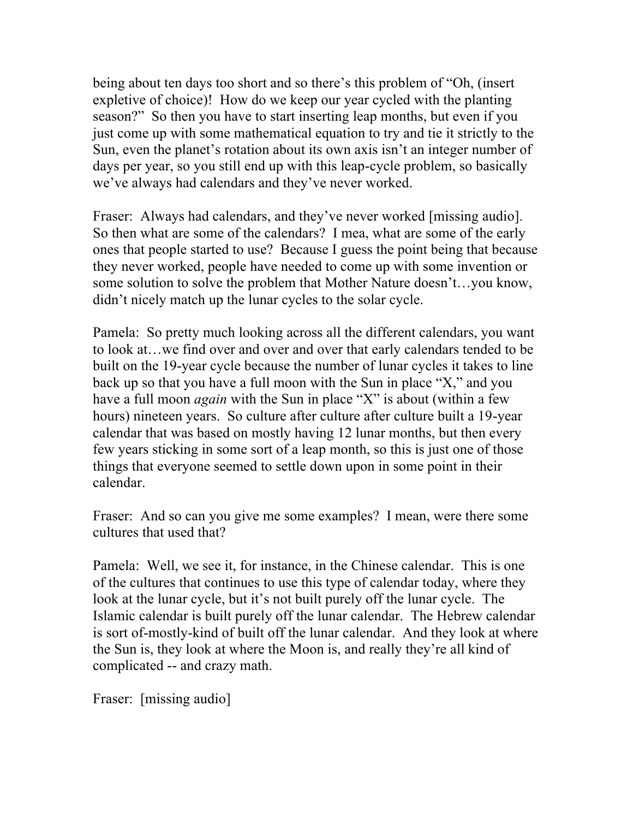being about ten days too short and so there's this problem of "Oh, (insert expletive of choice)! How do we keep our year cycled with the planting season?" So then you have to start inserting leap months, but even if you just come up with some mathematical equation to try and tie it strictly to the Sun, even the planet's rotation about its own axis isn't an integer number of days per year, so you still end up with this leap-cycle problem, so basically we've always had calendars and they've never worked.

Fraser: Always had calendars, and they've never worked [missing audio]. So then what are some of the calendars? I mea, what are some of the early ones that people started to use? Because I guess the point being that because they never worked, people have needed to come up with some invention or some solution to solve the problem that Mother Nature doesn't…you know, didn't nicely match up the lunar cycles to the solar cycle.

Pamela: So pretty much looking across all the different calendars, you want to look at…we find over and over and over that early calendars tended to be built on the 19-year cycle because the number of lunar cycles it takes to line back up so that you have a full moon with the Sun in place "X," and you have a full moon *again* with the Sun in place "X" is about (within a few hours) nineteen years. So culture after culture after culture built a 19-year calendar that was based on mostly having 12 lunar months, but then every few years sticking in some sort of a leap month, so this is just one of those things that everyone seemed to settle down upon in some point in their calendar.

Fraser: And so can you give me some examples? I mean, were there some cultures that used that?

Pamela: Well, we see it, for instance, in the Chinese calendar. This is one of the cultures that continues to use this type of calendar today, where they look at the lunar cycle, but it's not built purely off the lunar cycle. The Islamic calendar is built purely off the lunar calendar. The Hebrew calendar is sort of-mostly-kind of built off the lunar calendar. And they look at where the Sun is, they look at where the Moon is, and really they're all kind of complicated -- and crazy math.

Fraser: [missing audio]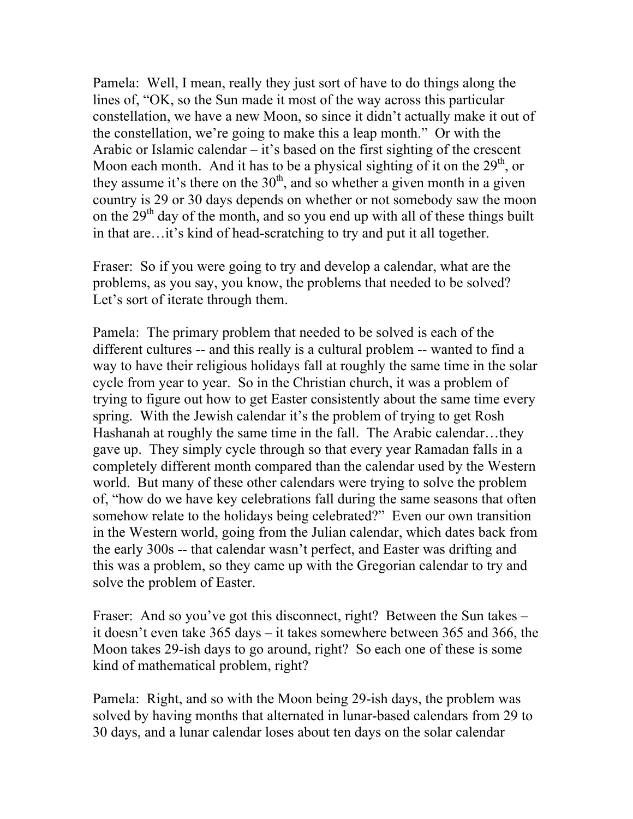Pamela: Well, I mean, really they just sort of have to do things along the lines of, "OK, so the Sun made it most of the way across this particular constellation, we have a new Moon, so since it didn't actually make it out of the constellation, we're going to make this a leap month." Or with the Arabic or Islamic calendar – it's based on the first sighting of the crescent Moon each month. And it has to be a physical sighting of it on the  $29<sup>th</sup>$ , or they assume it's there on the  $30<sup>th</sup>$ , and so whether a given month in a given country is 29 or 30 days depends on whether or not somebody saw the moon on the  $29<sup>th</sup>$  day of the month, and so you end up with all of these things built in that are…it's kind of head-scratching to try and put it all together.

Fraser: So if you were going to try and develop a calendar, what are the problems, as you say, you know, the problems that needed to be solved? Let's sort of iterate through them.

Pamela: The primary problem that needed to be solved is each of the different cultures -- and this really is a cultural problem -- wanted to find a way to have their religious holidays fall at roughly the same time in the solar cycle from year to year. So in the Christian church, it was a problem of trying to figure out how to get Easter consistently about the same time every spring. With the Jewish calendar it's the problem of trying to get Rosh Hashanah at roughly the same time in the fall. The Arabic calendar…they gave up. They simply cycle through so that every year Ramadan falls in a completely different month compared than the calendar used by the Western world. But many of these other calendars were trying to solve the problem of, "how do we have key celebrations fall during the same seasons that often somehow relate to the holidays being celebrated?" Even our own transition in the Western world, going from the Julian calendar, which dates back from the early 300s -- that calendar wasn't perfect, and Easter was drifting and this was a problem, so they came up with the Gregorian calendar to try and solve the problem of Easter.

Fraser: And so you've got this disconnect, right? Between the Sun takes – it doesn't even take 365 days – it takes somewhere between 365 and 366, the Moon takes 29-ish days to go around, right? So each one of these is some kind of mathematical problem, right?

Pamela: Right, and so with the Moon being 29-ish days, the problem was solved by having months that alternated in lunar-based calendars from 29 to 30 days, and a lunar calendar loses about ten days on the solar calendar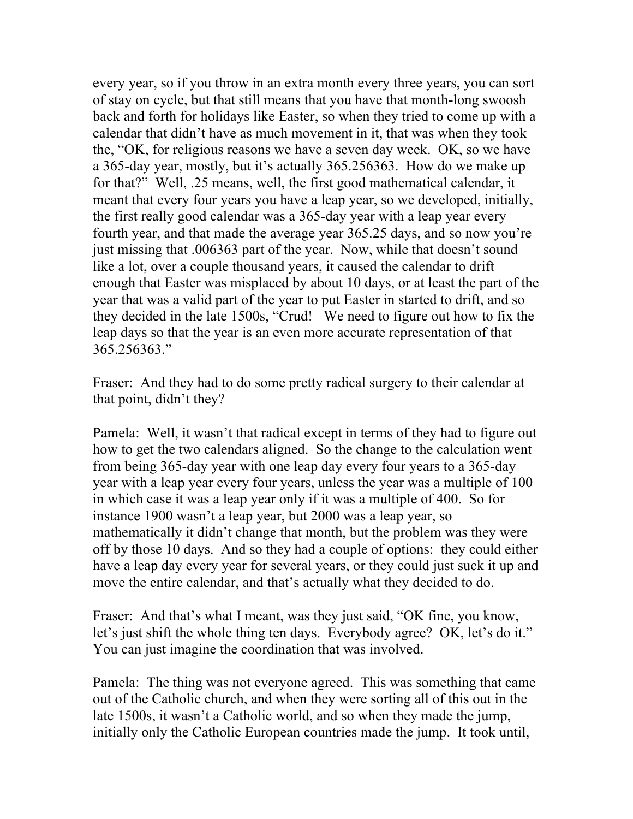every year, so if you throw in an extra month every three years, you can sort of stay on cycle, but that still means that you have that month-long swoosh back and forth for holidays like Easter, so when they tried to come up with a calendar that didn't have as much movement in it, that was when they took the, "OK, for religious reasons we have a seven day week. OK, so we have a 365-day year, mostly, but it's actually 365.256363. How do we make up for that?" Well, .25 means, well, the first good mathematical calendar, it meant that every four years you have a leap year, so we developed, initially, the first really good calendar was a 365-day year with a leap year every fourth year, and that made the average year 365.25 days, and so now you're just missing that .006363 part of the year. Now, while that doesn't sound like a lot, over a couple thousand years, it caused the calendar to drift enough that Easter was misplaced by about 10 days, or at least the part of the year that was a valid part of the year to put Easter in started to drift, and so they decided in the late 1500s, "Crud! We need to figure out how to fix the leap days so that the year is an even more accurate representation of that 365.256363."

Fraser: And they had to do some pretty radical surgery to their calendar at that point, didn't they?

Pamela: Well, it wasn't that radical except in terms of they had to figure out how to get the two calendars aligned. So the change to the calculation went from being 365-day year with one leap day every four years to a 365-day year with a leap year every four years, unless the year was a multiple of 100 in which case it was a leap year only if it was a multiple of 400. So for instance 1900 wasn't a leap year, but 2000 was a leap year, so mathematically it didn't change that month, but the problem was they were off by those 10 days. And so they had a couple of options: they could either have a leap day every year for several years, or they could just suck it up and move the entire calendar, and that's actually what they decided to do.

Fraser: And that's what I meant, was they just said, "OK fine, you know, let's just shift the whole thing ten days. Everybody agree? OK, let's do it." You can just imagine the coordination that was involved.

Pamela: The thing was not everyone agreed. This was something that came out of the Catholic church, and when they were sorting all of this out in the late 1500s, it wasn't a Catholic world, and so when they made the jump, initially only the Catholic European countries made the jump. It took until,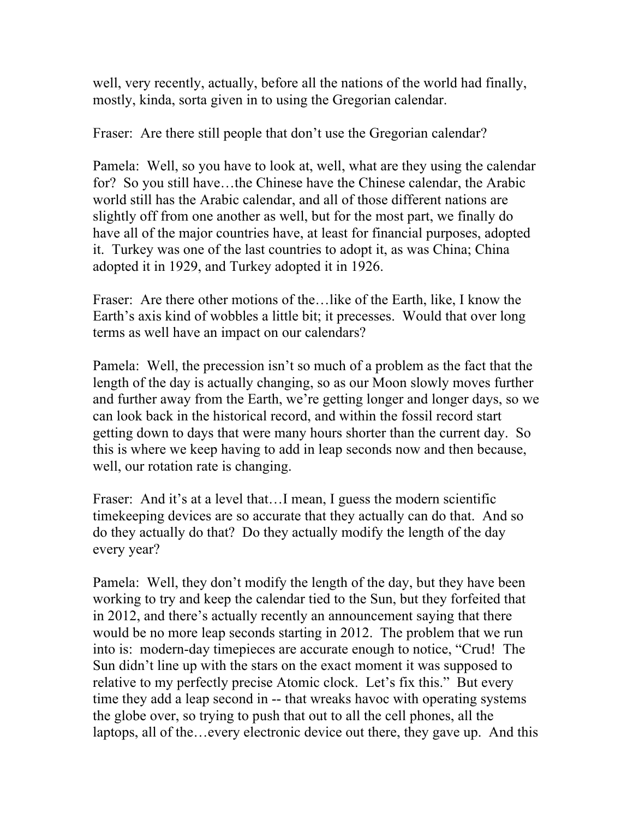well, very recently, actually, before all the nations of the world had finally, mostly, kinda, sorta given in to using the Gregorian calendar.

Fraser: Are there still people that don't use the Gregorian calendar?

Pamela: Well, so you have to look at, well, what are they using the calendar for? So you still have…the Chinese have the Chinese calendar, the Arabic world still has the Arabic calendar, and all of those different nations are slightly off from one another as well, but for the most part, we finally do have all of the major countries have, at least for financial purposes, adopted it. Turkey was one of the last countries to adopt it, as was China; China adopted it in 1929, and Turkey adopted it in 1926.

Fraser: Are there other motions of the…like of the Earth, like, I know the Earth's axis kind of wobbles a little bit; it precesses. Would that over long terms as well have an impact on our calendars?

Pamela: Well, the precession isn't so much of a problem as the fact that the length of the day is actually changing, so as our Moon slowly moves further and further away from the Earth, we're getting longer and longer days, so we can look back in the historical record, and within the fossil record start getting down to days that were many hours shorter than the current day. So this is where we keep having to add in leap seconds now and then because, well, our rotation rate is changing.

Fraser: And it's at a level that...I mean, I guess the modern scientific timekeeping devices are so accurate that they actually can do that. And so do they actually do that? Do they actually modify the length of the day every year?

Pamela: Well, they don't modify the length of the day, but they have been working to try and keep the calendar tied to the Sun, but they forfeited that in 2012, and there's actually recently an announcement saying that there would be no more leap seconds starting in 2012. The problem that we run into is: modern-day timepieces are accurate enough to notice, "Crud! The Sun didn't line up with the stars on the exact moment it was supposed to relative to my perfectly precise Atomic clock. Let's fix this." But every time they add a leap second in -- that wreaks havoc with operating systems the globe over, so trying to push that out to all the cell phones, all the laptops, all of the…every electronic device out there, they gave up. And this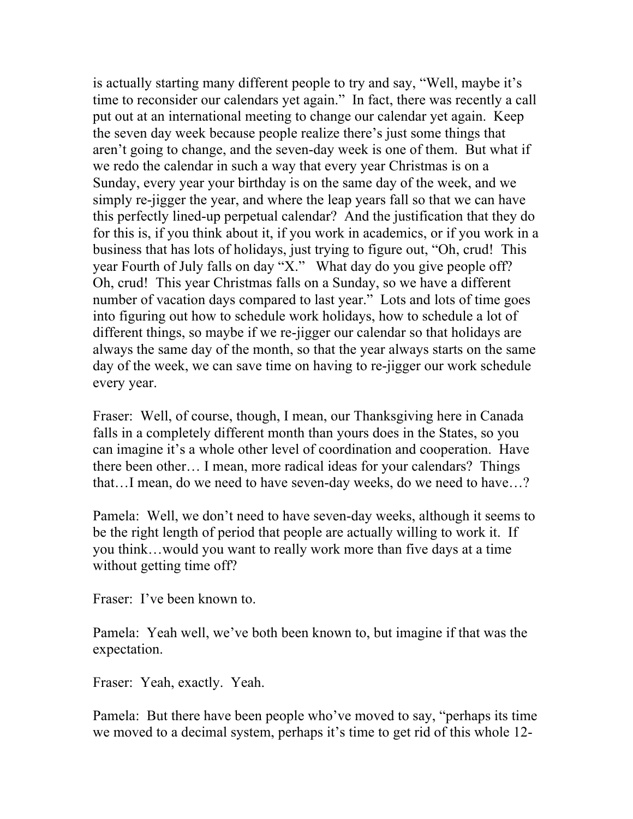is actually starting many different people to try and say, "Well, maybe it's time to reconsider our calendars yet again." In fact, there was recently a call put out at an international meeting to change our calendar yet again. Keep the seven day week because people realize there's just some things that aren't going to change, and the seven-day week is one of them. But what if we redo the calendar in such a way that every year Christmas is on a Sunday, every year your birthday is on the same day of the week, and we simply re-jigger the year, and where the leap years fall so that we can have this perfectly lined-up perpetual calendar? And the justification that they do for this is, if you think about it, if you work in academics, or if you work in a business that has lots of holidays, just trying to figure out, "Oh, crud! This year Fourth of July falls on day "X." What day do you give people off? Oh, crud! This year Christmas falls on a Sunday, so we have a different number of vacation days compared to last year." Lots and lots of time goes into figuring out how to schedule work holidays, how to schedule a lot of different things, so maybe if we re-jigger our calendar so that holidays are always the same day of the month, so that the year always starts on the same day of the week, we can save time on having to re-jigger our work schedule every year.

Fraser: Well, of course, though, I mean, our Thanksgiving here in Canada falls in a completely different month than yours does in the States, so you can imagine it's a whole other level of coordination and cooperation. Have there been other… I mean, more radical ideas for your calendars? Things that…I mean, do we need to have seven-day weeks, do we need to have…?

Pamela: Well, we don't need to have seven-day weeks, although it seems to be the right length of period that people are actually willing to work it. If you think…would you want to really work more than five days at a time without getting time off?

Fraser: I've been known to.

Pamela: Yeah well, we've both been known to, but imagine if that was the expectation.

Fraser: Yeah, exactly. Yeah.

Pamela: But there have been people who've moved to say, "perhaps its time we moved to a decimal system, perhaps it's time to get rid of this whole 12-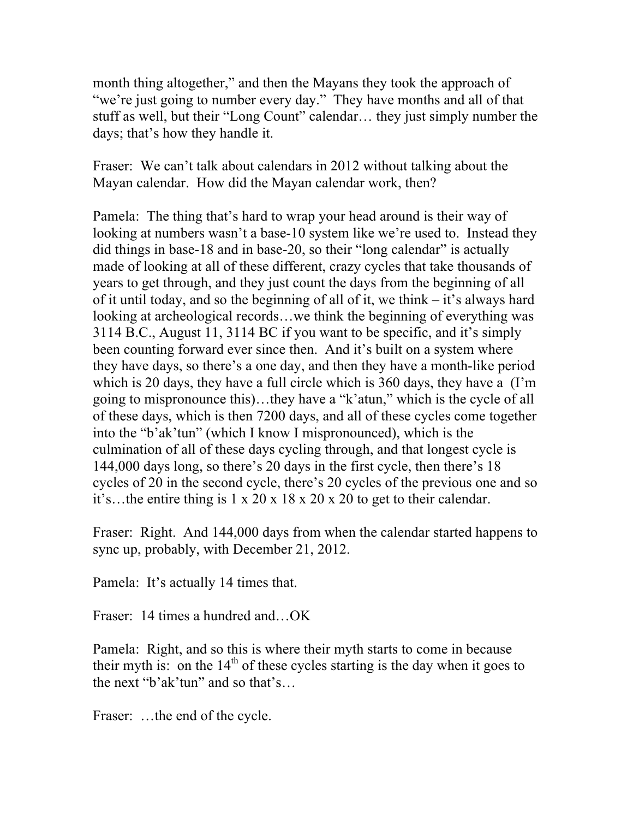month thing altogether," and then the Mayans they took the approach of "we're just going to number every day." They have months and all of that stuff as well, but their "Long Count" calendar… they just simply number the days; that's how they handle it.

Fraser: We can't talk about calendars in 2012 without talking about the Mayan calendar. How did the Mayan calendar work, then?

Pamela: The thing that's hard to wrap your head around is their way of looking at numbers wasn't a base-10 system like we're used to. Instead they did things in base-18 and in base-20, so their "long calendar" is actually made of looking at all of these different, crazy cycles that take thousands of years to get through, and they just count the days from the beginning of all of it until today, and so the beginning of all of it, we think – it's always hard looking at archeological records…we think the beginning of everything was 3114 B.C., August 11, 3114 BC if you want to be specific, and it's simply been counting forward ever since then. And it's built on a system where they have days, so there's a one day, and then they have a month-like period which is 20 days, they have a full circle which is 360 days, they have a (I'm going to mispronounce this)…they have a "k'atun," which is the cycle of all of these days, which is then 7200 days, and all of these cycles come together into the "b'ak'tun" (which I know I mispronounced), which is the culmination of all of these days cycling through, and that longest cycle is 144,000 days long, so there's 20 days in the first cycle, then there's 18 cycles of 20 in the second cycle, there's 20 cycles of the previous one and so it's…the entire thing is 1 x 20 x 18 x 20 x 20 to get to their calendar.

Fraser: Right. And 144,000 days from when the calendar started happens to sync up, probably, with December 21, 2012.

Pamela: It's actually 14 times that.

Fraser: 14 times a hundred and…OK

Pamela: Right, and so this is where their myth starts to come in because their myth is: on the  $14<sup>th</sup>$  of these cycles starting is the day when it goes to the next "b'ak'tun" and so that's…

Fraser: ...the end of the cycle.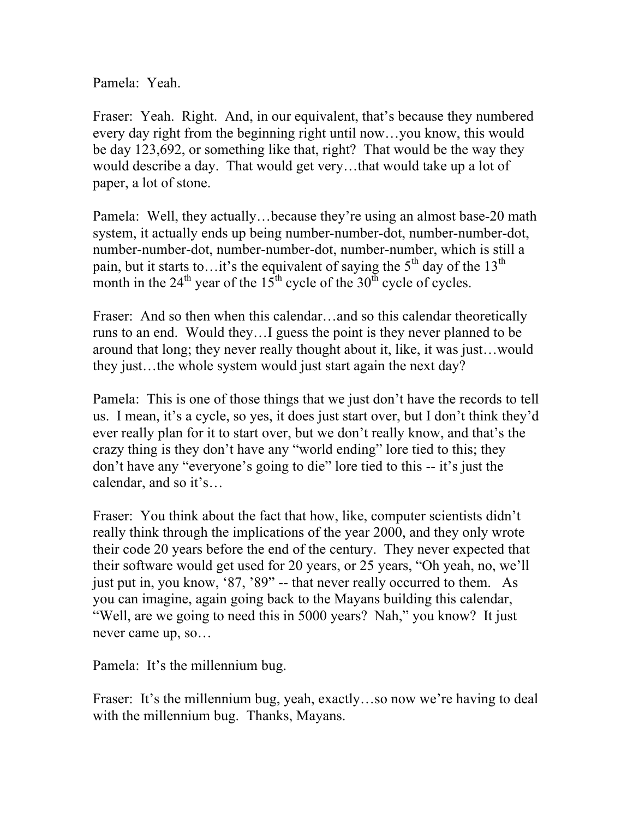Pamela: Yeah.

Fraser: Yeah. Right. And, in our equivalent, that's because they numbered every day right from the beginning right until now…you know, this would be day 123,692, or something like that, right? That would be the way they would describe a day. That would get very…that would take up a lot of paper, a lot of stone.

Pamela: Well, they actually…because they're using an almost base-20 math system, it actually ends up being number-number-dot, number-number-dot, number-number-dot, number-number-dot, number-number, which is still a pain, but it starts to...it's the equivalent of saying the  $5<sup>th</sup>$  day of the 13<sup>th</sup> month in the  $24<sup>th</sup>$  year of the  $15<sup>th</sup>$  cycle of the  $30<sup>th</sup>$  cycle of cycles.

Fraser: And so then when this calendar...and so this calendar theoretically runs to an end. Would they…I guess the point is they never planned to be around that long; they never really thought about it, like, it was just…would they just…the whole system would just start again the next day?

Pamela: This is one of those things that we just don't have the records to tell us. I mean, it's a cycle, so yes, it does just start over, but I don't think they'd ever really plan for it to start over, but we don't really know, and that's the crazy thing is they don't have any "world ending" lore tied to this; they don't have any "everyone's going to die" lore tied to this -- it's just the calendar, and so it's…

Fraser: You think about the fact that how, like, computer scientists didn't really think through the implications of the year 2000, and they only wrote their code 20 years before the end of the century. They never expected that their software would get used for 20 years, or 25 years, "Oh yeah, no, we'll just put in, you know, '87, '89" -- that never really occurred to them. As you can imagine, again going back to the Mayans building this calendar, "Well, are we going to need this in 5000 years? Nah," you know? It just never came up, so…

Pamela: It's the millennium bug.

Fraser: It's the millennium bug, yeah, exactly...so now we're having to deal with the millennium bug. Thanks, Mayans.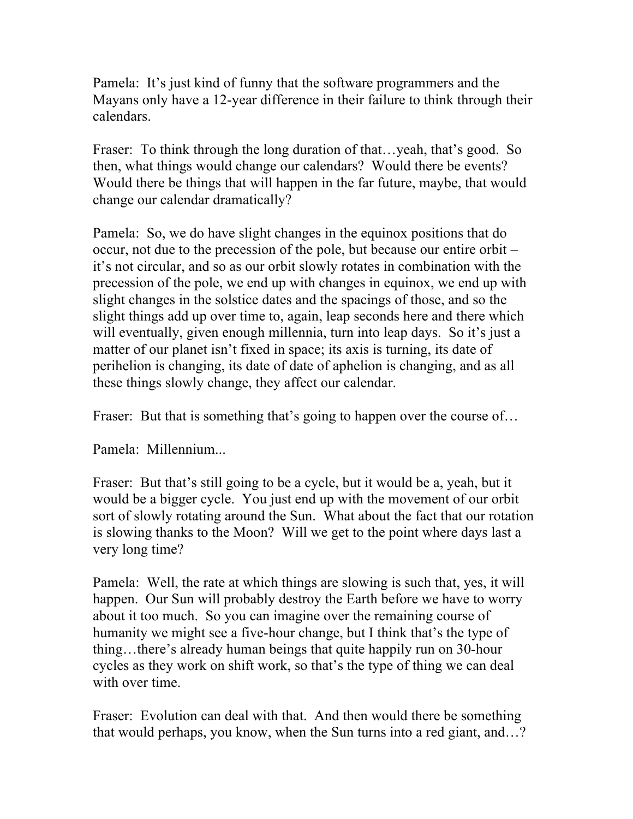Pamela: It's just kind of funny that the software programmers and the Mayans only have a 12-year difference in their failure to think through their calendars.

Fraser: To think through the long duration of that...yeah, that's good. So then, what things would change our calendars? Would there be events? Would there be things that will happen in the far future, maybe, that would change our calendar dramatically?

Pamela: So, we do have slight changes in the equinox positions that do occur, not due to the precession of the pole, but because our entire orbit – it's not circular, and so as our orbit slowly rotates in combination with the precession of the pole, we end up with changes in equinox, we end up with slight changes in the solstice dates and the spacings of those, and so the slight things add up over time to, again, leap seconds here and there which will eventually, given enough millennia, turn into leap days. So it's just a matter of our planet isn't fixed in space; its axis is turning, its date of perihelion is changing, its date of date of aphelion is changing, and as all these things slowly change, they affect our calendar.

Fraser: But that is something that's going to happen over the course of...

Pamela: Millennium...

Fraser: But that's still going to be a cycle, but it would be a, yeah, but it would be a bigger cycle. You just end up with the movement of our orbit sort of slowly rotating around the Sun. What about the fact that our rotation is slowing thanks to the Moon? Will we get to the point where days last a very long time?

Pamela: Well, the rate at which things are slowing is such that, yes, it will happen. Our Sun will probably destroy the Earth before we have to worry about it too much. So you can imagine over the remaining course of humanity we might see a five-hour change, but I think that's the type of thing…there's already human beings that quite happily run on 30-hour cycles as they work on shift work, so that's the type of thing we can deal with over time.

Fraser: Evolution can deal with that. And then would there be something that would perhaps, you know, when the Sun turns into a red giant, and…?